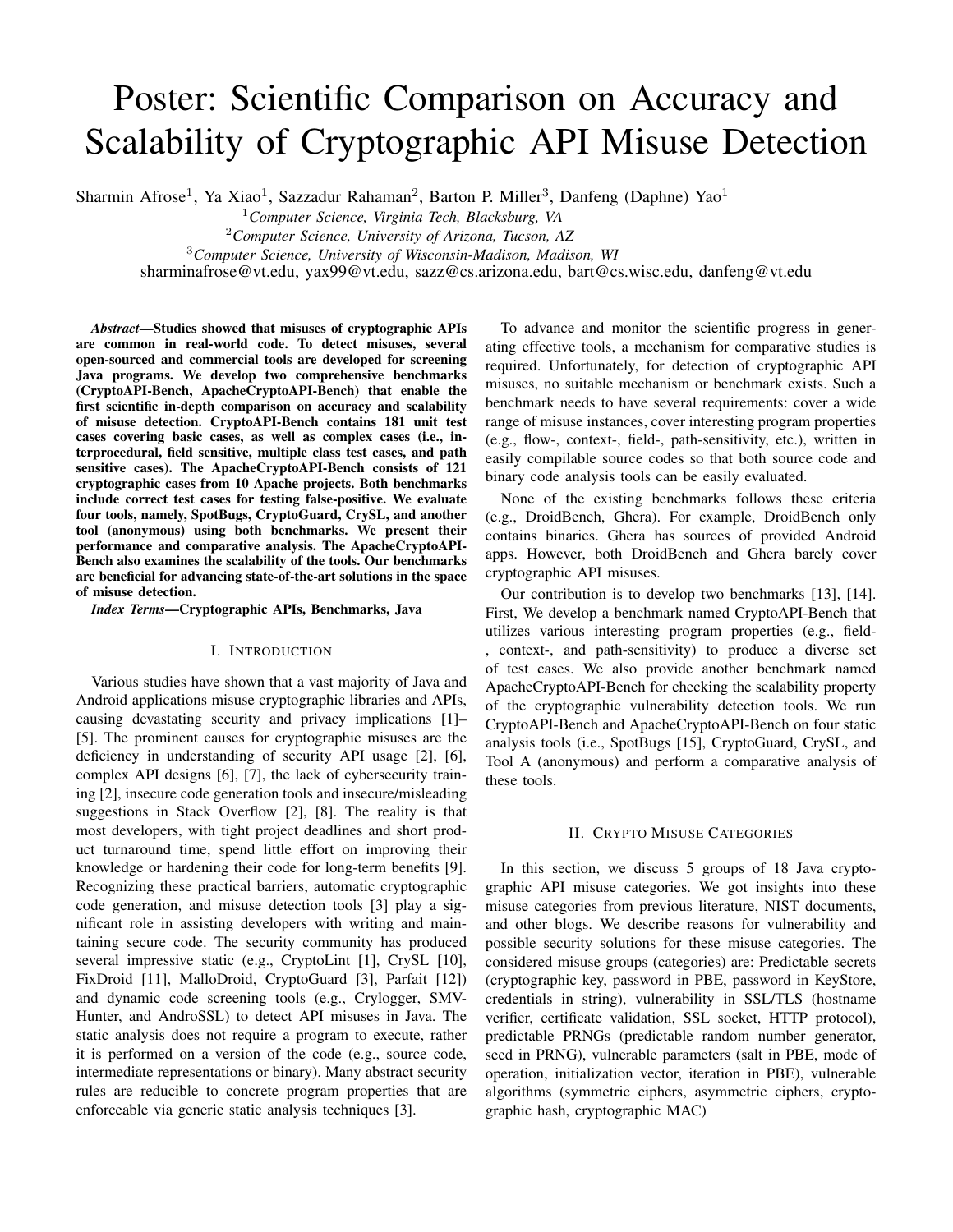# Poster: Scientific Comparison on Accuracy and Scalability of Cryptographic API Misuse Detection

Sharmin Afrose<sup>1</sup>, Ya Xiao<sup>1</sup>, Sazzadur Rahaman<sup>2</sup>, Barton P. Miller<sup>3</sup>, Danfeng (Daphne) Yao<sup>1</sup>

<sup>1</sup>*Computer Science, Virginia Tech, Blacksburg, VA*

<sup>2</sup>*Computer Science, University of Arizona, Tucson, AZ*

<sup>3</sup>*Computer Science, University of Wisconsin-Madison, Madison, WI*

sharminafrose@vt.edu, yax99@vt.edu, sazz@cs.arizona.edu, bart@cs.wisc.edu, danfeng@vt.edu

*Abstract*—Studies showed that misuses of cryptographic APIs are common in real-world code. To detect misuses, several open-sourced and commercial tools are developed for screening Java programs. We develop two comprehensive benchmarks (CryptoAPI-Bench, ApacheCryptoAPI-Bench) that enable the first scientific in-depth comparison on accuracy and scalability of misuse detection. CryptoAPI-Bench contains 181 unit test cases covering basic cases, as well as complex cases (i.e., interprocedural, field sensitive, multiple class test cases, and path sensitive cases). The ApacheCryptoAPI-Bench consists of 121 cryptographic cases from 10 Apache projects. Both benchmarks include correct test cases for testing false-positive. We evaluate four tools, namely, SpotBugs, CryptoGuard, CrySL, and another tool (anonymous) using both benchmarks. We present their performance and comparative analysis. The ApacheCryptoAPI-Bench also examines the scalability of the tools. Our benchmarks are beneficial for advancing state-of-the-art solutions in the space of misuse detection.

*Index Terms*—Cryptographic APIs, Benchmarks, Java

#### I. INTRODUCTION

Various studies have shown that a vast majority of Java and Android applications misuse cryptographic libraries and APIs, causing devastating security and privacy implications [1]– [5]. The prominent causes for cryptographic misuses are the deficiency in understanding of security API usage [2], [6], complex API designs [6], [7], the lack of cybersecurity training [2], insecure code generation tools and insecure/misleading suggestions in Stack Overflow [2], [8]. The reality is that most developers, with tight project deadlines and short product turnaround time, spend little effort on improving their knowledge or hardening their code for long-term benefits [9]. Recognizing these practical barriers, automatic cryptographic code generation, and misuse detection tools [3] play a significant role in assisting developers with writing and maintaining secure code. The security community has produced several impressive static (e.g., CryptoLint [1], CrySL [10], FixDroid [11], MalloDroid, CryptoGuard [3], Parfait [12]) and dynamic code screening tools (e.g., Crylogger, SMV-Hunter, and AndroSSL) to detect API misuses in Java. The static analysis does not require a program to execute, rather it is performed on a version of the code (e.g., source code, intermediate representations or binary). Many abstract security rules are reducible to concrete program properties that are enforceable via generic static analysis techniques [3].

To advance and monitor the scientific progress in generating effective tools, a mechanism for comparative studies is required. Unfortunately, for detection of cryptographic API misuses, no suitable mechanism or benchmark exists. Such a benchmark needs to have several requirements: cover a wide range of misuse instances, cover interesting program properties (e.g., flow-, context-, field-, path-sensitivity, etc.), written in easily compilable source codes so that both source code and binary code analysis tools can be easily evaluated.

None of the existing benchmarks follows these criteria (e.g., DroidBench, Ghera). For example, DroidBench only contains binaries. Ghera has sources of provided Android apps. However, both DroidBench and Ghera barely cover cryptographic API misuses.

Our contribution is to develop two benchmarks [13], [14]. First, We develop a benchmark named CryptoAPI-Bench that utilizes various interesting program properties (e.g., field- , context-, and path-sensitivity) to produce a diverse set of test cases. We also provide another benchmark named ApacheCryptoAPI-Bench for checking the scalability property of the cryptographic vulnerability detection tools. We run CryptoAPI-Bench and ApacheCryptoAPI-Bench on four static analysis tools (i.e., SpotBugs [15], CryptoGuard, CrySL, and Tool A (anonymous) and perform a comparative analysis of these tools.

#### II. CRYPTO MISUSE CATEGORIES

In this section, we discuss 5 groups of 18 Java cryptographic API misuse categories. We got insights into these misuse categories from previous literature, NIST documents, and other blogs. We describe reasons for vulnerability and possible security solutions for these misuse categories. The considered misuse groups (categories) are: Predictable secrets (cryptographic key, password in PBE, password in KeyStore, credentials in string), vulnerability in SSL/TLS (hostname verifier, certificate validation, SSL socket, HTTP protocol), predictable PRNGs (predictable random number generator, seed in PRNG), vulnerable parameters (salt in PBE, mode of operation, initialization vector, iteration in PBE), vulnerable algorithms (symmetric ciphers, asymmetric ciphers, cryptographic hash, cryptographic MAC)